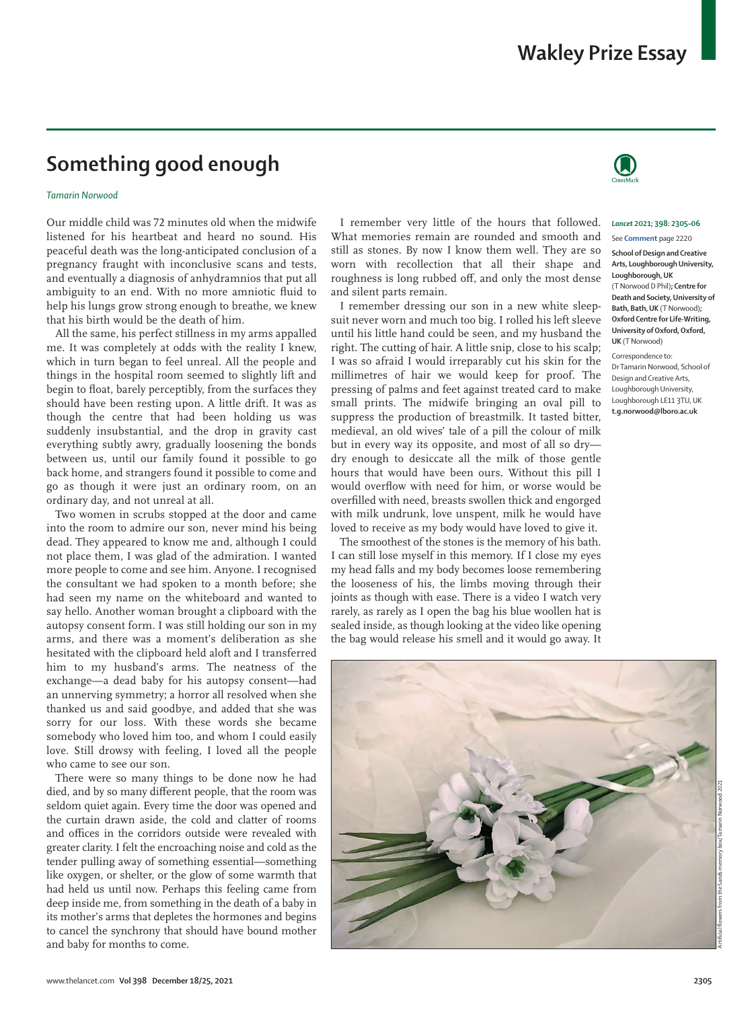# **Something good enough**

## *Tamarin Norwood*

Our middle child was 72 minutes old when the midwife listened for his heartbeat and heard no sound. His peaceful death was the long-anticipated conclusion of a pregnancy fraught with inconclusive scans and tests, and eventually a diagnosis of anhydramnios that put all ambiguity to an end. With no more amniotic fluid to help his lungs grow strong enough to breathe, we knew that his birth would be the death of him.

All the same, his perfect stillness in my arms appalled me. It was completely at odds with the reality I knew, which in turn began to feel unreal. All the people and things in the hospital room seemed to slightly lift and begin to float, barely perceptibly, from the surfaces they should have been resting upon. A little drift. It was as though the centre that had been holding us was suddenly insubstantial, and the drop in gravity cast everything subtly awry, gradually loosening the bonds between us, until our family found it possible to go back home, and strangers found it possible to come and go as though it were just an ordinary room, on an ordinary day, and not unreal at all.

Two women in scrubs stopped at the door and came into the room to admire our son, never mind his being dead. They appeared to know me and, although I could not place them, I was glad of the admiration. I wanted more people to come and see him. Anyone. I recognised the consultant we had spoken to a month before; she had seen my name on the whiteboard and wanted to say hello. Another woman brought a clipboard with the autopsy consent form. I was still holding our son in my arms, and there was a moment's deliberation as she hesitated with the clipboard held aloft and I transferred him to my husband's arms. The neatness of the exchange—a dead baby for his autopsy consent—had an unnerving symmetry; a horror all resolved when she thanked us and said goodbye, and added that she was sorry for our loss. With these words she became somebody who loved him too, and whom I could easily love. Still drowsy with feeling, I loved all the people who came to see our son.

There were so many things to be done now he had died, and by so many different people, that the room was seldom quiet again. Every time the door was opened and the curtain drawn aside, the cold and clatter of rooms and offices in the corridors outside were revealed with greater clarity. I felt the encroaching noise and cold as the tender pulling away of something essential—something like oxygen, or shelter, or the glow of some warmth that had held us until now. Perhaps this feeling came from deep inside me, from something in the death of a baby in its mother's arms that depletes the hormones and begins to cancel the synchrony that should have bound mother and baby for months to come.

I remember very little of the hours that followed. What memories remain are rounded and smooth and still as stones. By now I know them well. They are so worn with recollection that all their shape and roughness is long rubbed off, and only the most dense and silent parts remain.

I remember dressing our son in a new white sleepsuit never worn and much too big. I rolled his left sleeve until his little hand could be seen, and my husband the right. The cutting of hair. A little snip, close to his scalp; I was so afraid I would irreparably cut his skin for the millimetres of hair we would keep for proof. The pressing of palms and feet against treated card to make small prints. The midwife bringing an oval pill to suppress the production of breastmilk. It tasted bitter, medieval, an old wives' tale of a pill the colour of milk but in every way its opposite, and most of all so dry dry enough to desiccate all the milk of those gentle hours that would have been ours. Without this pill I would overflow with need for him, or worse would be overfilled with need, breasts swollen thick and engorged with milk undrunk, love unspent, milk he would have loved to receive as my body would have loved to give it.

The smoothest of the stones is the memory of his bath. I can still lose myself in this memory. If I close my eyes my head falls and my body becomes loose remembering the looseness of his, the limbs moving through their joints as though with ease. There is a video I watch very rarely, as rarely as I open the bag his blue woollen hat is sealed inside, as though looking at the video like opening the bag would release his smell and it would go away. It



#### *Lancet* **2021; 398: 2305–06**

#### See **Comment** page 2220

**School of Design and Creative Arts, Loughborough University, Loughborough, UK**  (T Norwood D Phil)**; Centre for Death and Society, University of Bath, Bath, UK** (T Norwood)**; Oxford Centre for Life-Writing, University of Oxford, Oxford, UK** (T Norwood)

Correspondence to: Dr Tamarin Norwood, School of Design and Creative Arts Loughborough University, Loughborough LE11 3TU, UK **t.g.norwood@lboro.ac.uk**